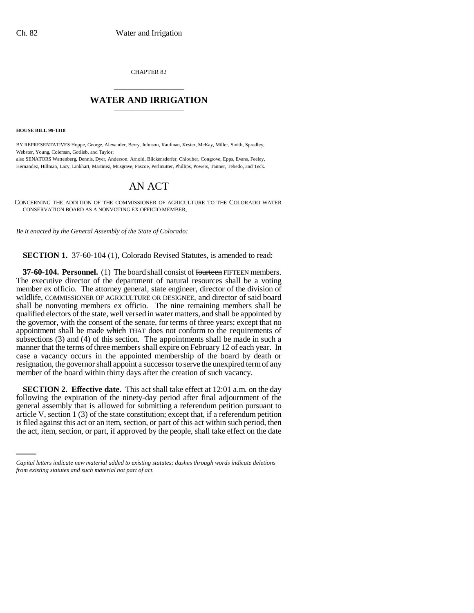CHAPTER 82 \_\_\_\_\_\_\_\_\_\_\_\_\_\_\_

## **WATER AND IRRIGATION** \_\_\_\_\_\_\_\_\_\_\_\_\_\_\_

**HOUSE BILL 99-1318**

BY REPRESENTATIVES Hoppe, George, Alexander, Berry, Johnson, Kaufman, Kester, McKay, Miller, Smith, Spradley, Webster, Young, Coleman, Gotlieb, and Taylor;

also SENATORS Wattenberg, Dennis, Dyer, Anderson, Arnold, Blickensderfer, Chlouber, Congrove, Epps, Evans, Feeley, Hernandez, Hillman, Lacy, Linkhart, Martinez, Musgrave, Pascoe, Perlmutter, Phillips, Powers, Tanner, Tebedo, and Teck.

## AN ACT

CONCERNING THE ADDITION OF THE COMMISSIONER OF AGRICULTURE TO THE COLORADO WATER CONSERVATION BOARD AS A NONVOTING EX OFFICIO MEMBER.

*Be it enacted by the General Assembly of the State of Colorado:*

**SECTION 1.** 37-60-104 (1), Colorado Revised Statutes, is amended to read:

**37-60-104. Personnel.** (1) The board shall consist of fourteen FIFTEEN members. The executive director of the department of natural resources shall be a voting member ex officio. The attorney general, state engineer, director of the division of wildlife, COMMISSIONER OF AGRICULTURE OR DESIGNEE, and director of said board shall be nonvoting members ex officio. The nine remaining members shall be qualified electors of the state, well versed in water matters, and shall be appointed by the governor, with the consent of the senate, for terms of three years; except that no appointment shall be made which THAT does not conform to the requirements of subsections (3) and (4) of this section. The appointments shall be made in such a manner that the terms of three members shall expire on February 12 of each year. In case a vacancy occurs in the appointed membership of the board by death or resignation, the governor shall appoint a successor to serve the unexpired term of any member of the board within thirty days after the creation of such vacancy.

article V, section 1 (3) of the state constitution; except that, if a referendum petition **SECTION 2. Effective date.** This act shall take effect at 12:01 a.m. on the day following the expiration of the ninety-day period after final adjournment of the general assembly that is allowed for submitting a referendum petition pursuant to is filed against this act or an item, section, or part of this act within such period, then the act, item, section, or part, if approved by the people, shall take effect on the date

*Capital letters indicate new material added to existing statutes; dashes through words indicate deletions from existing statutes and such material not part of act.*